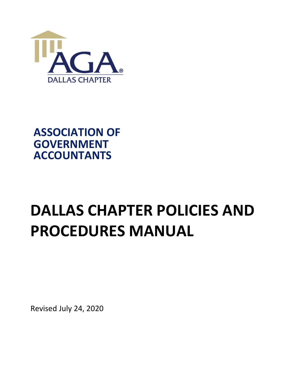

## **ASSOCIATION OF GOVERNMENT ACCOUNTANTS**

# **DALLAS CHAPTER POLICIES AND PROCEDURES MANUAL**

Revised July 24, 2020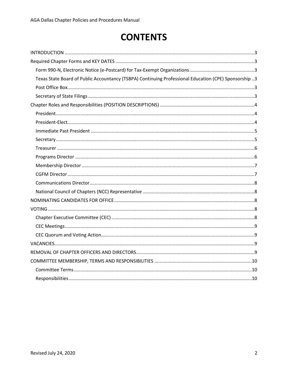## **CONTENTS**

| Texas State Board of Public Accountancy (TSBPA) Continuing Professional Education (CPE) Sponsorship 3 |
|-------------------------------------------------------------------------------------------------------|
|                                                                                                       |
|                                                                                                       |
|                                                                                                       |
|                                                                                                       |
|                                                                                                       |
|                                                                                                       |
|                                                                                                       |
|                                                                                                       |
|                                                                                                       |
|                                                                                                       |
|                                                                                                       |
|                                                                                                       |
|                                                                                                       |
|                                                                                                       |
|                                                                                                       |
|                                                                                                       |
|                                                                                                       |
|                                                                                                       |
|                                                                                                       |
|                                                                                                       |
|                                                                                                       |
|                                                                                                       |
|                                                                                                       |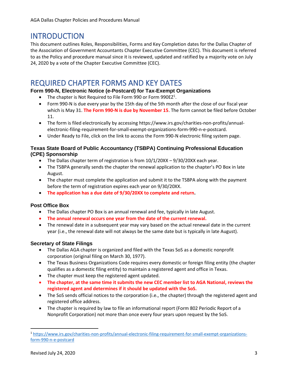## <span id="page-2-0"></span>INTRODUCTION

This document outlines Roles, Responsibilities, Forms and Key Completion dates for the Dallas Chapter of the Association of Government Accountants Chapter Executive Committee (CEC). This document is referred to as the Policy and procedure manual since it is reviewed, updated and ratified by a majority vote on July 24, 2020 by a vote of the Chapter Executive Committee (CEC).

## <span id="page-2-1"></span>REQUIRED CHAPTER FORMS AND KEY DATES

#### <span id="page-2-2"></span>**Form 990-N, Electronic Notice (e-Postcard) for Tax-Exempt Organizations**

- The chapter is Not Required to File Form 990 or Form 990EZ<sup>1</sup>.
- Form 990-N is due every year by the 15th day of the 5th month after the close of our fiscal year which is May 31. **The Form 990-N is due by November 15**. The form cannot be filed before October 11.
- The form is filed electronically by accessin[g https://www.irs.gov/charities-non-profits/annual](https://www.irs.gov/charities-non-profits/annual-electronic-filing-requirement-for-small-exempt-organizations-form-990-n-e-postcard)[electronic-filing-requirement-for-small-exempt-organizations-form-990-n-e-postcard.](https://www.irs.gov/charities-non-profits/annual-electronic-filing-requirement-for-small-exempt-organizations-form-990-n-e-postcard)
- Under Ready to File, click on the link to access the Form 990-N electronic filing system page.

#### <span id="page-2-3"></span>**Texas State Board of Public Accountancy (TSBPA) Continuing Professional Education (CPE) Sponsorship**

- The Dallas chapter term of registration is from  $10/1/20XX 9/30/20XX$  each year.
- The TSBPA generally sends the chapter the renewal application to the chapter's PO Box in late August.
- The chapter must complete the application and submit it to the TSBPA along with the payment before the term of registration expires each year on 9/30/20XX.
- **The application has a due date of 9/30/20XX to complete and return.**

#### <span id="page-2-4"></span>**Post Office Box**

- The Dallas chapter PO Box is an annual renewal and fee, typically in late August.
- **The annual renewal occurs one year from the date of the current renewal.**
- The renewal date in a subsequent year may vary based on the actual renewal date in the current year (i.e., the renewal date will not always be the same date but is typically in late August).

#### <span id="page-2-5"></span>**Secretary of State Filings**

- The Dallas AGA chapter is organized and filed with the Texas SoS as a domestic nonprofit corporation (original filing on March 30, 1977).
- The Texas Business Organizations Code requires every domestic or foreign filing entity (the chapter qualifies as a domestic filing entity) to maintain a registered agent and office in Texas.
- The chapter must keep the registered agent updated.
- **The chapter, at the same time it submits the new CEC member list to AGA National, reviews the registered agent and determines if it should be updated with the SoS.**
- The SoS sends official notices to the corporation (i.e., the chapter) through the registered agent and registered office address.
- The chapter is required by law to file an informational report (Form 802 Periodic Report of a Nonprofit Corporation) not more than once every four years upon request by the SoS.

<sup>1</sup> [https://www.irs.gov/charities-non-profits/annual-electronic-filing-requirement-for-small-exempt-organizations](https://www.irs.gov/charities-non-profits/annual-electronic-filing-requirement-for-small-exempt-organizations-form-990-n-e-postcard)[form-990-n-e-postcard](https://www.irs.gov/charities-non-profits/annual-electronic-filing-requirement-for-small-exempt-organizations-form-990-n-e-postcard)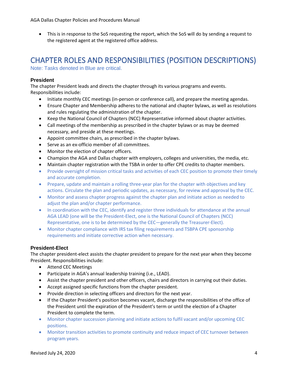• This is in response to the SoS requesting the report, which the SoS will do by sending a request to the registered agent at the registered office address.

## <span id="page-3-0"></span>CHAPTER ROLES AND RESPONSIBILITIES (POSITION DESCRIPTIONS)

Note: Tasks denoted in Blue are critical.

#### <span id="page-3-1"></span>**President**

The chapter President leads and directs the chapter through its various programs and events. Responsibilities include:

- Initiate monthly CEC meetings (in-person or conference call), and prepare the meeting agendas.
- Ensure Chapter and Membership adheres to the national and chapter bylaws, as well as resolutions and rules regulating the administration of the chapter.
- Keep the National Council of Chapters (NCC) Representative informed about chapter activities.
- Call meetings of the membership as prescribed in the chapter bylaws or as may be deemed necessary, and preside at these meetings.
- Appoint committee chairs, as prescribed in the chapter bylaws.
- Serve as an ex-officio member of all committees.
- Monitor the election of chapter officers.
- Champion the AGA and Dallas chapter with employers, colleges and universities, the media, etc.
- Maintain chapter registration with the TSBA in order to offer CPE credits to chapter members.
- Provide oversight of mission critical tasks and activities of each CEC position to promote their timely and accurate completion.
- Prepare, update and maintain a rolling three-year plan for the chapter with objectives and key actions. Circulate the plan and periodic updates, as necessary, for review and approval by the CEC.
- Monitor and assess chapter progress against the chapter plan and initiate action as needed to adjust the plan and/or chapter performance.
- In coordination with the CEC, identify and register three individuals for attendance at the annual AGA LEAD (one will be the President-Elect, one is the National Council of Chapters (NCC) Representative, one is to be determined by the CEC—generally the Treasurer-Elect).
- Monitor chapter compliance with IRS tax filing requirements and TSBPA CPE sponsorship requirements and initiate corrective action when necessary.

#### <span id="page-3-2"></span>**President-Elect**

The chapter president-elect assists the chapter president to prepare for the next year when they become President. Responsibilities include:

- Attend CEC Meetings
- Participate in AGA's annual leadership training (i.e., LEAD).
- Assist the chapter president and other officers, chairs and directors in carrying out their duties.
- Accept assigned specific functions from the chapter president.
- Provide direction in selecting officers and directors for the next year.
- If the Chapter President's position becomes vacant, discharge the responsibilities of the office of the President until the expiration of the President's term or until the election of a Chapter President to complete the term.
- Monitor chapter succession planning and initiate actions to fulfil vacant and/or upcoming CEC positions.
- Monitor transition activities to promote continuity and reduce impact of CEC turnover between program years.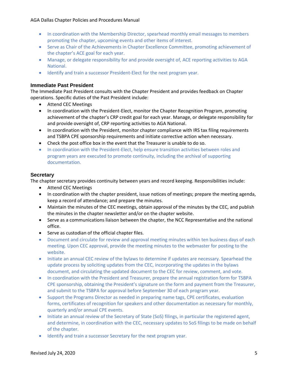- In coordination with the Membership Director, spearhead monthly email messages to members promoting the chapter, upcoming events and other items of interest.
- Serve as Chair of the Achievements in Chapter Excellence Committee, promoting achievement of the chapter's ACE goal for each year.
- Manage, or delegate responsibility for and provide oversight of, ACE reporting activities to AGA National.
- Identify and train a successor President-Elect for the next program year.

#### <span id="page-4-0"></span>**Immediate Past President**

The Immediate Past President consults with the Chapter President and provides feedback on Chapter operations. Specific duties of the Past President include:

- Attend CEC Meetings
- In coordination with the President-Elect, monitor the Chapter Recognition Program, promoting achievement of the chapter's CRP credit goal for each year. Manage, or delegate responsibility for and provide oversight of, CRP reporting activities to AGA National.
- In coordination with the President, monitor chapter compliance with IRS tax filing requirements and TSBPA CPE sponsorship requirements and initiate corrective action when necessary.
- Check the post office box in the event that the Treasurer is unable to do so.
- In coordination with the President-Elect, help ensure transition activities between roles and program years are executed to promote continuity, including the archival of supporting documentation.

#### <span id="page-4-1"></span>**Secretary**

The chapter secretary provides continuity between years and record keeping. Responsibilities include:

- Attend CEC Meetings
- In coordination with the chapter president, issue notices of meetings; prepare the meeting agenda, keep a record of attendance; and prepare the minutes.
- Maintain the minutes of the CEC meetings, obtain approval of the minutes by the CEC, and publish the minutes in the chapter newsletter and/or on the chapter website.
- Serve as a communications liaison between the chapter, the NCC Representative and the national office.
- Serve as custodian of the official chapter files.
- Document and circulate for review and approval meeting minutes within ten business days of each meeting. Upon CEC approval, provide the meeting minutes to the webmaster for posting to the website.
- Initiate an annual CEC review of the bylaws to determine if updates are necessary. Spearhead the update process by soliciting updates from the CEC, incorporating the updates in the bylaws document, and circulating the updated document to the CEC for review, comment, and vote.
- In coordination with the President and Treasurer, prepare the annual registration form for TSBPA CPE sponsorship, obtaining the President's signature on the form and payment from the Treasurer, and submit to the TSBPA for approval before September 30 of each program year.
- Support the Programs Director as needed in preparing name tags, CPE certificates, evaluation forms, certificates of recognition for speakers and other documentation as necessary for monthly, quarterly and/or annual CPE events.
- Initiate an annual review of the Secretary of State (SoS) filings, in particular the registered agent, and determine, in coordination with the CEC, necessary updates to SoS filings to be made on behalf of the chapter.
- Identify and train a successor Secretary for the next program year.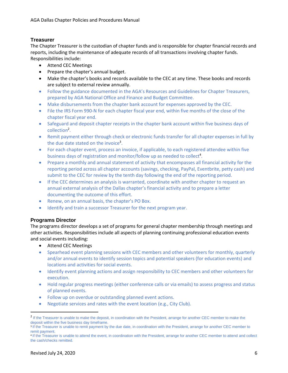#### <span id="page-5-0"></span>**Treasurer**

The Chapter Treasurer is the custodian of chapter funds and is responsible for chapter financial records and reports, including the maintenance of adequate records of all transactions involving chapter funds. Responsibilities include:

- Attend CEC Meetings
- Prepare the chapter's annual budget.
- Make the chapter's books and records available to the CEC at any time. These books and records are subject to external review annually.
- Follow the guidance documented in the AGA's Resources and Guidelines for Chapter Treasurers, prepared by AGA National Office and Finance and Budget Committee.
- Make disbursements from the chapter bank account for expenses approved by the CEC.
- File the IRS Form 990-N for each chapter fiscal year end, within five months of the close of the chapter fiscal year end.
- Safeguard and deposit chapter receipts in the chapter bank account within five business days of collection<sup>2</sup>.
- Remit payment either through check or electronic funds transfer for all chapter expenses in full by the due date stated on the invoice<sup>3</sup>.
- For each chapter event, process an invoice, if applicable, to each registered attendee within five business days of registration and monitor/follow up as needed to collect<sup>4</sup>.
- Prepare a monthly and annual statement of activity that encompasses all financial activity for the reporting period across all chapter accounts (savings, checking, PayPal, Eventbrite, petty cash) and submit to the CEC for review by the tenth day following the end of the reporting period.
- If the CEC determines an analysis is warranted, coordinate with another chapter to request an annual external analysis of the Dallas chapter's financial activity and to prepare a letter documenting the outcome of this effort.
- Renew, on an annual basis, the chapter's PO Box.
- Identify and train a successor Treasurer for the next program year.

#### <span id="page-5-1"></span>**Programs Director**

The programs director develops a set of programs for general chapter membership through meetings and other activities. Responsibilities include all aspects of planning continuing professional education events and social events including:

- Attend CEC Meetings
- Spearhead event planning sessions with CEC members and other volunteers for monthly, quarterly and/or annual events to identify session topics and potential speakers (for education events) and locations and activities for social events.
- Identify event planning actions and assign responsibility to CEC members and other volunteers for execution.
- Hold regular progress meetings (either conference calls or via emails) to assess progress and status of planned events.
- Follow up on overdue or outstanding planned event actions.
- Negotiate services and rates with the event location (e.g., City Club).

<sup>&</sup>lt;sup>2</sup> If the Treasurer is unable to make the deposit, in coordination with the President, arrange for another CEC member to make the deposit within the five business day timeframe.

<sup>&</sup>lt;sup>3</sup> If the Treasurer is unable to remit payment by the due date, in coordination with the President, arrange for another CEC member to remit payment.

<sup>4</sup> If the Treasurer is unable to attend the event, in coordination with the President, arrange for another CEC member to attend and collect the cash/checks remitted.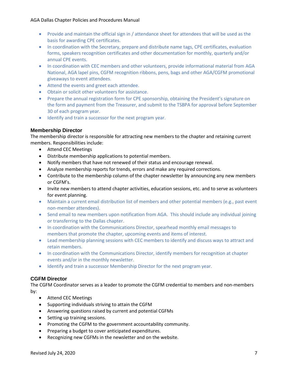#### AGA Dallas Chapter Policies and Procedures Manual

- Provide and maintain the official sign in / attendance sheet for attendees that will be used as the basis for awarding CPE certificates.
- In coordination with the Secretary, prepare and distribute name tags, CPE certificates, evaluation forms, speakers recognition certificates and other documentation for monthly, quarterly and/or annual CPE events.
- In coordination with CEC members and other volunteers, provide informational material from AGA National, AGA lapel pins, CGFM recognition ribbons, pens, bags and other AGA/CGFM promotional giveaways to event attendees.
- Attend the events and greet each attendee.
- Obtain or solicit other volunteers for assistance.
- Prepare the annual registration form for CPE sponsorship, obtaining the President's signature on the form and payment from the Treasurer, and submit to the TSBPA for approval before September 30 of each program year.
- Identify and train a successor for the next program year.

#### <span id="page-6-0"></span>**Membership Director**

The membership director is responsible for attracting new members to the chapter and retaining current members. Responsibilities include:

- Attend CEC Meetings
- Distribute membership applications to potential members.
- Notify members that have not renewed of their status and encourage renewal.
- Analyze membership reports for trends, errors and make any required corrections.
- Contribute to the membership column of the chapter newsletter by announcing any new members or CGFM's.
- Invite new members to attend chapter activities, education sessions, etc. and to serve as volunteers for event planning.
- Maintain a current email distribution list of members and other potential members (e.g., past event non-member attendees).
- Send email to new members upon notification from AGA. This should include any individual joining or transferring to the Dallas chapter.
- In coordination with the Communications Director, spearhead monthly email messages to members that promote the chapter, upcoming events and items of interest.
- Lead membership planning sessions with CEC members to identify and discuss ways to attract and retain members.
- In coordination with the Communications Director, identify members for recognition at chapter events and/or in the monthly newsletter.
- Identify and train a successor Membership Director for the next program year.

#### <span id="page-6-1"></span>**CGFM Director**

The CGFM Coordinator serves as a leader to promote the CGFM credential to members and non-members by:

- Attend CEC Meetings
- Supporting individuals striving to attain the CGFM
- Answering questions raised by current and potential CGFMs
- Setting up training sessions.
- Promoting the CGFM to the government accountability community.
- Preparing a budget to cover anticipated expenditures.
- Recognizing new CGFMs in the newsletter and on the website.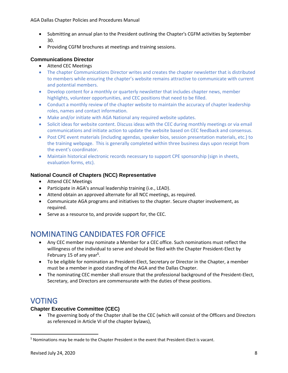- Submitting an annual plan to the President outlining the Chapter's CGFM activities by September 30.
- Providing CGFM brochures at meetings and training sessions.

#### <span id="page-7-0"></span>**Communications Director**

- Attend CEC Meetings
- The chapter Communications Director writes and creates the chapter newsletter that is distributed to members while ensuring the chapter's website remains attractive to communicate with current and potential members.
- Develop content for a monthly or quarterly newsletter that includes chapter news, member highlights, volunteer opportunities, and CEC positions that need to be filled.
- Conduct a monthly review of the chapter website to maintain the accuracy of chapter leadership roles, names and contact information.
- Make and/or initiate with AGA National any required website updates.
- Solicit ideas for website content. Discuss ideas with the CEC during monthly meetings or via email communications and initiate action to update the website based on CEC feedback and consensus.
- Post CPE event materials (including agendas, speaker bios, session presentation materials, etc.) to the training webpage. This is generally completed within three business days upon receipt from the event's coordinator.
- Maintain historical electronic records necessary to support CPE sponsorship (sign in sheets, evaluation forms, etc).

#### <span id="page-7-1"></span>**National Council of Chapters (NCC) Representative**

- Attend CEC Meetings
- Participate in AGA's annual leadership training (i.e., LEAD).
- Attend obtain an approved alternate for all NCC meetings, as required.
- Communicate AGA programs and initiatives to the chapter. Secure chapter involvement, as required.
- <span id="page-7-2"></span>• Serve as a resource to, and provide support for, the CEC.

## NOMINATING CANDIDATES FOR OFFICE

- Any CEC member may nominate a Member for a CEC office. Such nominations must reflect the willingness of the individual to serve and should be filed with the Chapter President-Elect by February 15 of any year<sup>5</sup>.
- To be eligible for nomination as President-Elect, Secretary or Director in the Chapter, a member must be a member in good standing of the AGA and the Dallas Chapter.
- The nominating CEC member shall ensure that the professional background of the President-Elect, Secretary, and Directors are commensurate with the duties of these positions.

## <span id="page-7-3"></span>VOTING

#### <span id="page-7-4"></span>**Chapter Executive Committee (CEC)**

• The governing body of the Chapter shall be the CEC (which will consist of the Officers and Directors as referenced in Article VI of the chapter bylaws),

<sup>5</sup> Nominations may be made to the Chapter President in the event that President-Elect is vacant.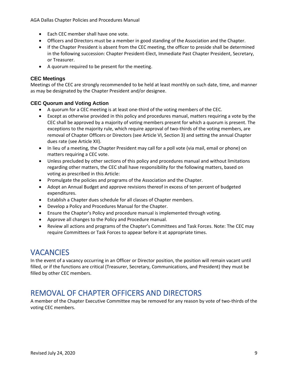AGA Dallas Chapter Policies and Procedures Manual

- Each CEC member shall have one vote.
- Officers and Directors must be a member in good standing of the Association and the Chapter.
- If the Chapter President is absent from the CEC meeting, the officer to preside shall be determined in the following succession: Chapter President-Elect, Immediate Past Chapter President, Secretary, or Treasurer.
- A quorum required to be present for the meeting.

#### <span id="page-8-0"></span>**CEC Meetings**

Meetings of the CEC are strongly recommended to be held at least monthly on such date, time, and manner as may be designated by the Chapter President and/or designee.

#### <span id="page-8-1"></span>**CEC Quorum and Voting Action**

- A quorum for a CEC meeting is at least one-third of the voting members of the CEC.
- Except as otherwise provided in this policy and procedures manual, matters requiring a vote by the CEC shall be approved by a majority of voting members present for which a quorum is present. The exceptions to the majority rule, which require approval of two-thirds of the voting members, are removal of Chapter Officers or Directors (see Article VI, Section 3) and setting the annual Chapter dues rate (see Article XII).
- In lieu of a meeting, the Chapter President may call for a poll vote (via mail, email or phone) on matters requiring a CEC vote.
- Unless precluded by other sections of this policy and procedures manual and without limitations regarding other matters, the CEC shall have responsibility for the following matters, based on voting as prescribed in this Article:
- Promulgate the policies and programs of the Association and the Chapter.
- Adopt an Annual Budget and approve revisions thereof in excess of ten percent of budgeted expenditures.
- Establish a Chapter dues schedule for all classes of Chapter members.
- Develop a Policy and Procedures Manual for the Chapter.
- Ensure the Chapter's Policy and procedure manual is implemented through voting.
- Approve all changes to the Policy and Procedure manual.
- Review all actions and programs of the Chapter's Committees and Task Forces. Note: The CEC may require Committees or Task Forces to appear before it at appropriate times.

### <span id="page-8-2"></span>**VACANCIES**

In the event of a vacancy occurring in an Officer or Director position, the position will remain vacant until filled, or if the functions are critical (Treasurer, Secretary, Communications, and President) they must be filled by other CEC members.

## <span id="page-8-3"></span>REMOVAL OF CHAPTER OFFICERS AND DIRECTORS

A member of the Chapter Executive Committee may be removed for any reason by vote of two-thirds of the voting CEC members.